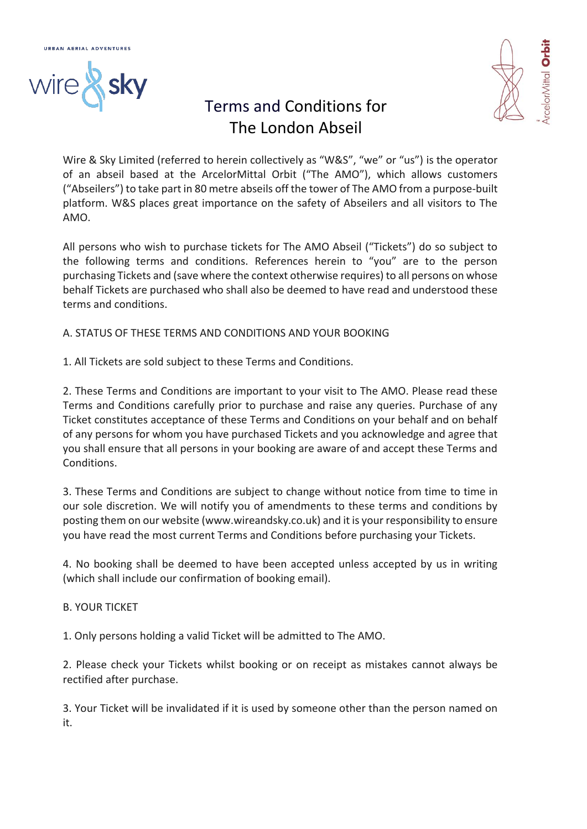

# Terms and Conditions for The London Abseil

Wire & Sky Limited (referred to herein collectively as "W&S", "we" or "us") is the operator of an abseil based at the ArcelorMittal Orbit ("The AMO"), which allows customers ("Abseilers") to take part in 80 metre abseils off the tower of The AMO from a purpose-built platform. W&S places great importance on the safety of Abseilers and all visitors to The AMO.

All persons who wish to purchase tickets for The AMO Abseil ("Tickets") do so subject to the following terms and conditions. References herein to "you" are to the person purchasing Tickets and (save where the context otherwise requires) to all persons on whose behalf Tickets are purchased who shall also be deemed to have read and understood these terms and conditions.

A. STATUS OF THESE TERMS AND CONDITIONS AND YOUR BOOKING

1. All Tickets are sold subject to these Terms and Conditions.

2. These Terms and Conditions are important to your visit to The AMO. Please read these Terms and Conditions carefully prior to purchase and raise any queries. Purchase of any Ticket constitutes acceptance of these Terms and Conditions on your behalf and on behalf of any persons for whom you have purchased Tickets and you acknowledge and agree that you shall ensure that all persons in your booking are aware of and accept these Terms and **Conditions** 

3. These Terms and Conditions are subject to change without notice from time to time in our sole discretion. We will notify you of amendments to these terms and conditions by posting them on our website (www.wireandsky.co.uk) and it is your responsibility to ensure you have read the most current Terms and Conditions before purchasing your Tickets.

4. No booking shall be deemed to have been accepted unless accepted by us in writing (which shall include our confirmation of booking email).

### B. YOUR TICKET

1. Only persons holding a valid Ticket will be admitted to The AMO.

2. Please check your Tickets whilst booking or on receipt as mistakes cannot always be rectified after purchase.

3. Your Ticket will be invalidated if it is used by someone other than the person named on it.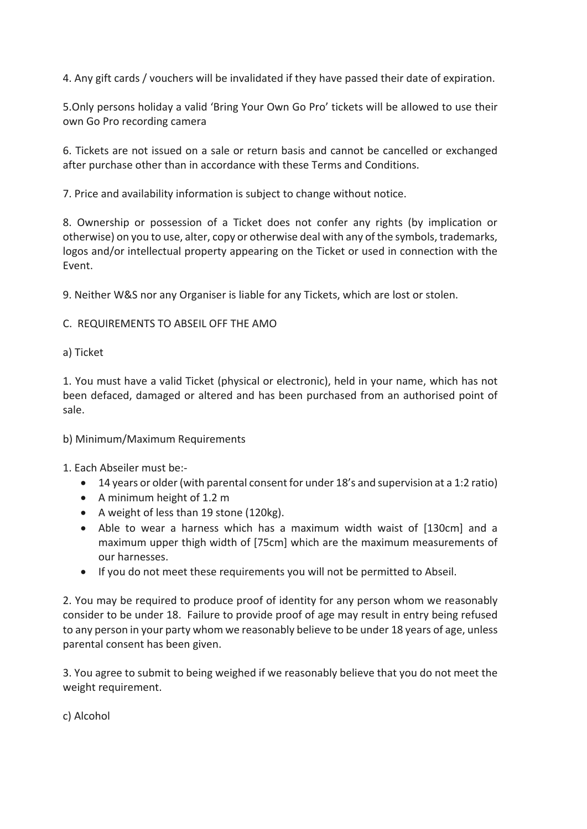4. Any gift cards / vouchers will be invalidated if they have passed their date of expiration.

5.Only persons holiday a valid 'Bring Your Own Go Pro' tickets will be allowed to use their own Go Pro recording camera

6. Tickets are not issued on a sale or return basis and cannot be cancelled or exchanged after purchase other than in accordance with these Terms and Conditions.

7. Price and availability information is subject to change without notice.

8. Ownership or possession of a Ticket does not confer any rights (by implication or otherwise) on you to use, alter, copy or otherwise deal with any of the symbols, trademarks, logos and/or intellectual property appearing on the Ticket or used in connection with the Event.

9. Neither W&S nor any Organiser is liable for any Tickets, which are lost or stolen.

## C. REQUIREMENTS TO ABSEIL OFF THE AMO

### a) Ticket

1. You must have a valid Ticket (physical or electronic), held in your name, which has not been defaced, damaged or altered and has been purchased from an authorised point of sale.

### b) Minimum/Maximum Requirements

1. Each Abseiler must be:-

- 14 years or older(with parental consent for under 18's and supervision at a 1:2 ratio)
- A minimum height of 1.2 m
- A weight of less than 19 stone (120kg).
- Able to wear a harness which has a maximum width waist of [130cm] and a maximum upper thigh width of [75cm] which are the maximum measurements of our harnesses.
- If you do not meet these requirements you will not be permitted to Abseil.

2. You may be required to produce proof of identity for any person whom we reasonably consider to be under 18. Failure to provide proof of age may result in entry being refused to any person in your party whom we reasonably believe to be under 18 years of age, unless parental consent has been given.

3. You agree to submit to being weighed if we reasonably believe that you do not meet the weight requirement.

c) Alcohol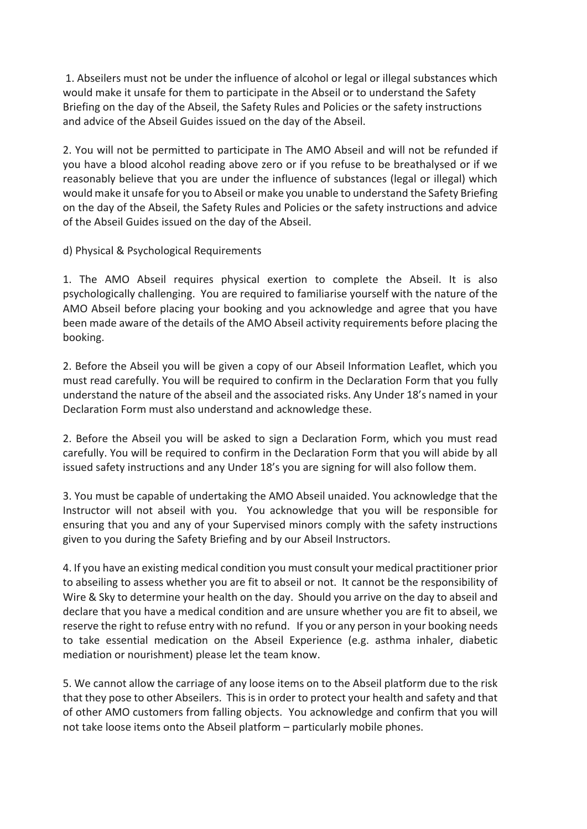1. Abseilers must not be under the influence of alcohol or legal or illegal substances which would make it unsafe for them to participate in the Abseil or to understand the Safety Briefing on the day of the Abseil, the Safety Rules and Policies or the safety instructions and advice of the Abseil Guides issued on the day of the Abseil.

2. You will not be permitted to participate in The AMO Abseil and will not be refunded if you have a blood alcohol reading above zero or if you refuse to be breathalysed or if we reasonably believe that you are under the influence of substances (legal or illegal) which would make it unsafe for you to Abseil or make you unable to understand the Safety Briefing on the day of the Abseil, the Safety Rules and Policies or the safety instructions and advice of the Abseil Guides issued on the day of the Abseil.

d) Physical & Psychological Requirements

1. The AMO Abseil requires physical exertion to complete the Abseil. It is also psychologically challenging. You are required to familiarise yourself with the nature of the AMO Abseil before placing your booking and you acknowledge and agree that you have been made aware of the details of the AMO Abseil activity requirements before placing the booking.

2. Before the Abseil you will be given a copy of our Abseil Information Leaflet, which you must read carefully. You will be required to confirm in the Declaration Form that you fully understand the nature of the abseil and the associated risks. Any Under 18's named in your Declaration Form must also understand and acknowledge these.

2. Before the Abseil you will be asked to sign a Declaration Form, which you must read carefully. You will be required to confirm in the Declaration Form that you will abide by all issued safety instructions and any Under 18's you are signing for will also follow them.

3. You must be capable of undertaking the AMO Abseil unaided. You acknowledge that the Instructor will not abseil with you. You acknowledge that you will be responsible for ensuring that you and any of your Supervised minors comply with the safety instructions given to you during the Safety Briefing and by our Abseil Instructors.

4. If you have an existing medical condition you must consult your medical practitioner prior to abseiling to assess whether you are fit to abseil or not. It cannot be the responsibility of Wire & Sky to determine your health on the day. Should you arrive on the day to abseil and declare that you have a medical condition and are unsure whether you are fit to abseil, we reserve the right to refuse entry with no refund. If you or any person in your booking needs to take essential medication on the Abseil Experience (e.g. asthma inhaler, diabetic mediation or nourishment) please let the team know.

5. We cannot allow the carriage of any loose items on to the Abseil platform due to the risk that they pose to other Abseilers. This is in order to protect your health and safety and that of other AMO customers from falling objects. You acknowledge and confirm that you will not take loose items onto the Abseil platform – particularly mobile phones.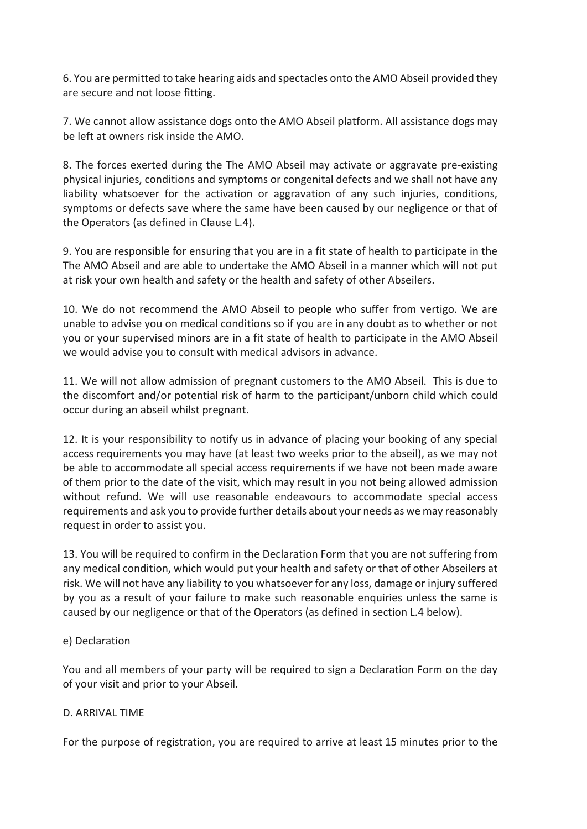6. You are permitted to take hearing aids and spectacles onto the AMO Abseil provided they are secure and not loose fitting.

7. We cannot allow assistance dogs onto the AMO Abseil platform. All assistance dogs may be left at owners risk inside the AMO.

8. The forces exerted during the The AMO Abseil may activate or aggravate pre-existing physical injuries, conditions and symptoms or congenital defects and we shall not have any liability whatsoever for the activation or aggravation of any such injuries, conditions, symptoms or defects save where the same have been caused by our negligence or that of the Operators (as defined in Clause L.4).

9. You are responsible for ensuring that you are in a fit state of health to participate in the The AMO Abseil and are able to undertake the AMO Abseil in a manner which will not put at risk your own health and safety or the health and safety of other Abseilers.

10. We do not recommend the AMO Abseil to people who suffer from vertigo. We are unable to advise you on medical conditions so if you are in any doubt as to whether or not you or your supervised minors are in a fit state of health to participate in the AMO Abseil we would advise you to consult with medical advisors in advance.

11. We will not allow admission of pregnant customers to the AMO Abseil. This is due to the discomfort and/or potential risk of harm to the participant/unborn child which could occur during an abseil whilst pregnant.

12. It is your responsibility to notify us in advance of placing your booking of any special access requirements you may have (at least two weeks prior to the abseil), as we may not be able to accommodate all special access requirements if we have not been made aware of them prior to the date of the visit, which may result in you not being allowed admission without refund. We will use reasonable endeavours to accommodate special access requirements and ask you to provide further details about your needs as we may reasonably request in order to assist you.

13. You will be required to confirm in the Declaration Form that you are not suffering from any medical condition, which would put your health and safety or that of other Abseilers at risk. We will not have any liability to you whatsoever for any loss, damage or injury suffered by you as a result of your failure to make such reasonable enquiries unless the same is caused by our negligence or that of the Operators (as defined in section L.4 below).

### e) Declaration

You and all members of your party will be required to sign a Declaration Form on the day of your visit and prior to your Abseil.

### D. ARRIVAL TIME

For the purpose of registration, you are required to arrive at least 15 minutes prior to the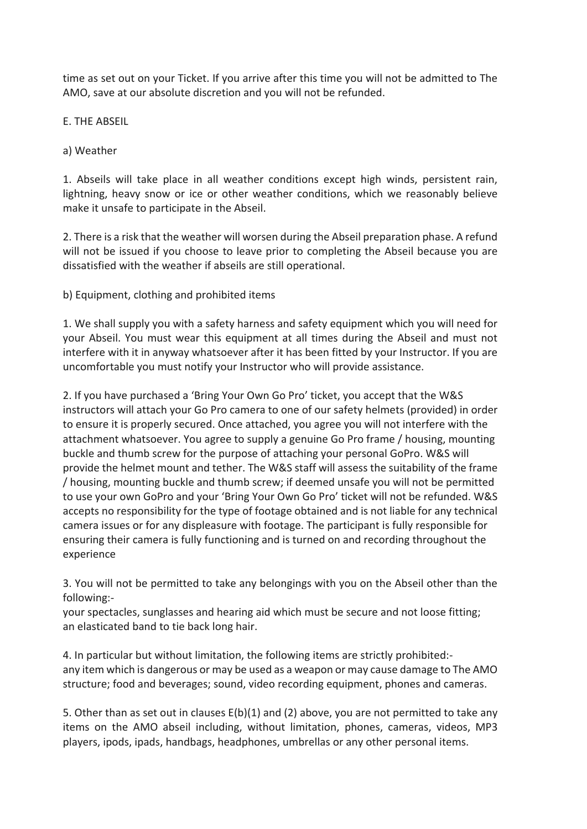time as set out on your Ticket. If you arrive after this time you will not be admitted to The AMO, save at our absolute discretion and you will not be refunded.

E. THE ABSEIL

a) Weather

1. Abseils will take place in all weather conditions except high winds, persistent rain, lightning, heavy snow or ice or other weather conditions, which we reasonably believe make it unsafe to participate in the Abseil.

2. There is a risk that the weather will worsen during the Abseil preparation phase. A refund will not be issued if you choose to leave prior to completing the Abseil because you are dissatisfied with the weather if abseils are still operational.

b) Equipment, clothing and prohibited items

1. We shall supply you with a safety harness and safety equipment which you will need for your Abseil. You must wear this equipment at all times during the Abseil and must not interfere with it in anyway whatsoever after it has been fitted by your Instructor. If you are uncomfortable you must notify your Instructor who will provide assistance.

2. If you have purchased a 'Bring Your Own Go Pro' ticket, you accept that the W&S instructors will attach your Go Pro camera to one of our safety helmets (provided) in order to ensure it is properly secured. Once attached, you agree you will not interfere with the attachment whatsoever. You agree to supply a genuine Go Pro frame / housing, mounting buckle and thumb screw for the purpose of attaching your personal GoPro. W&S will provide the helmet mount and tether. The W&S staff will assess the suitability of the frame / housing, mounting buckle and thumb screw; if deemed unsafe you will not be permitted to use your own GoPro and your 'Bring Your Own Go Pro' ticket will not be refunded. W&S accepts no responsibility for the type of footage obtained and is not liable for any technical camera issues or for any displeasure with footage. The participant is fully responsible for ensuring their camera is fully functioning and is turned on and recording throughout the experience

3. You will not be permitted to take any belongings with you on the Abseil other than the following:-

your spectacles, sunglasses and hearing aid which must be secure and not loose fitting; an elasticated band to tie back long hair.

4. In particular but without limitation, the following items are strictly prohibited: any item which is dangerous or may be used as a weapon or may cause damage to The AMO structure; food and beverages; sound, video recording equipment, phones and cameras.

5. Other than as set out in clauses  $E(b)(1)$  and (2) above, you are not permitted to take any items on the AMO abseil including, without limitation, phones, cameras, videos, MP3 players, ipods, ipads, handbags, headphones, umbrellas or any other personal items.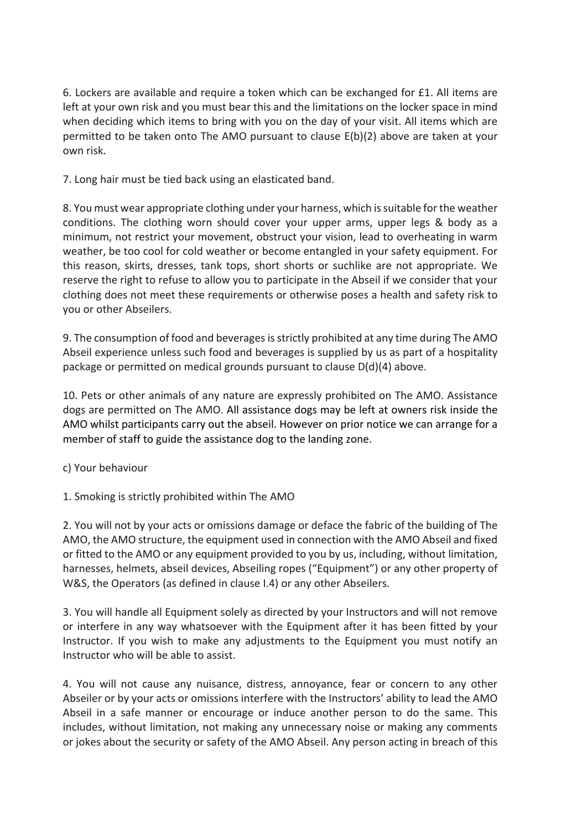6. Lockers are available and require a token which can be exchanged for £1. All items are left at your own risk and you must bear this and the limitations on the locker space in mind when deciding which items to bring with you on the day of your visit. All items which are permitted to be taken onto The AMO pursuant to clause E(b)(2) above are taken at your own risk.

7. Long hair must be tied back using an elasticated band.

8. You must wear appropriate clothing under your harness, which is suitable for the weather conditions. The clothing worn should cover your upper arms, upper legs & body as a minimum, not restrict your movement, obstruct your vision, lead to overheating in warm weather, be too cool for cold weather or become entangled in your safety equipment. For this reason, skirts, dresses, tank tops, short shorts or suchlike are not appropriate. We reserve the right to refuse to allow you to participate in the Abseil if we consider that your clothing does not meet these requirements or otherwise poses a health and safety risk to you or other Abseilers.

9. The consumption of food and beverages is strictly prohibited at any time during The AMO Abseil experience unless such food and beverages is supplied by us as part of a hospitality package or permitted on medical grounds pursuant to clause D(d)(4) above.

10. Pets or other animals of any nature are expressly prohibited on The AMO. Assistance dogs are permitted on The AMO. All assistance dogs may be left at owners risk inside the AMO whilst participants carry out the abseil. However on prior notice we can arrange for a member of staff to guide the assistance dog to the landing zone.

c) Your behaviour

1. Smoking is strictly prohibited within The AMO

2. You will not by your acts or omissions damage or deface the fabric of the building of The AMO, the AMO structure, the equipment used in connection with the AMO Abseil and fixed or fitted to the AMO or any equipment provided to you by us, including, without limitation, harnesses, helmets, abseil devices, Abseiling ropes ("Equipment") or any other property of W&S, the Operators (as defined in clause I.4) or any other Abseilers.

3. You will handle all Equipment solely as directed by your Instructors and will not remove or interfere in any way whatsoever with the Equipment after it has been fitted by your Instructor. If you wish to make any adjustments to the Equipment you must notify an Instructor who will be able to assist.

4. You will not cause any nuisance, distress, annoyance, fear or concern to any other Abseiler or by your acts or omissions interfere with the Instructors' ability to lead the AMO Abseil in a safe manner or encourage or induce another person to do the same. This includes, without limitation, not making any unnecessary noise or making any comments or jokes about the security or safety of the AMO Abseil. Any person acting in breach of this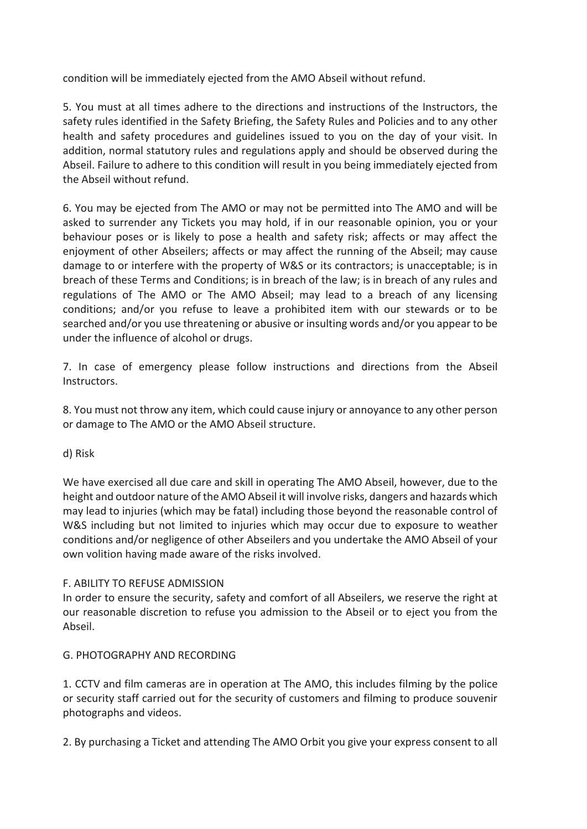condition will be immediately ejected from the AMO Abseil without refund.

5. You must at all times adhere to the directions and instructions of the Instructors, the safety rules identified in the Safety Briefing, the Safety Rules and Policies and to any other health and safety procedures and guidelines issued to you on the day of your visit. In addition, normal statutory rules and regulations apply and should be observed during the Abseil. Failure to adhere to this condition will result in you being immediately ejected from the Abseil without refund.

6. You may be ejected from The AMO or may not be permitted into The AMO and will be asked to surrender any Tickets you may hold, if in our reasonable opinion, you or your behaviour poses or is likely to pose a health and safety risk; affects or may affect the enjoyment of other Abseilers; affects or may affect the running of the Abseil; may cause damage to or interfere with the property of W&S or its contractors; is unacceptable; is in breach of these Terms and Conditions; is in breach of the law; is in breach of any rules and regulations of The AMO or The AMO Abseil; may lead to a breach of any licensing conditions; and/or you refuse to leave a prohibited item with our stewards or to be searched and/or you use threatening or abusive or insulting words and/or you appear to be under the influence of alcohol or drugs.

7. In case of emergency please follow instructions and directions from the Abseil Instructors.

8. You must not throw any item, which could cause injury or annoyance to any other person or damage to The AMO or the AMO Abseil structure.

d) Risk

We have exercised all due care and skill in operating The AMO Abseil, however, due to the height and outdoor nature of the AMO Abseil it will involve risks, dangers and hazards which may lead to injuries (which may be fatal) including those beyond the reasonable control of W&S including but not limited to injuries which may occur due to exposure to weather conditions and/or negligence of other Abseilers and you undertake the AMO Abseil of your own volition having made aware of the risks involved.

### F. ABILITY TO REFUSE ADMISSION

In order to ensure the security, safety and comfort of all Abseilers, we reserve the right at our reasonable discretion to refuse you admission to the Abseil or to eject you from the Abseil.

### G. PHOTOGRAPHY AND RECORDING

1. CCTV and film cameras are in operation at The AMO, this includes filming by the police or security staff carried out for the security of customers and filming to produce souvenir photographs and videos.

2. By purchasing a Ticket and attending The AMO Orbit you give your express consent to all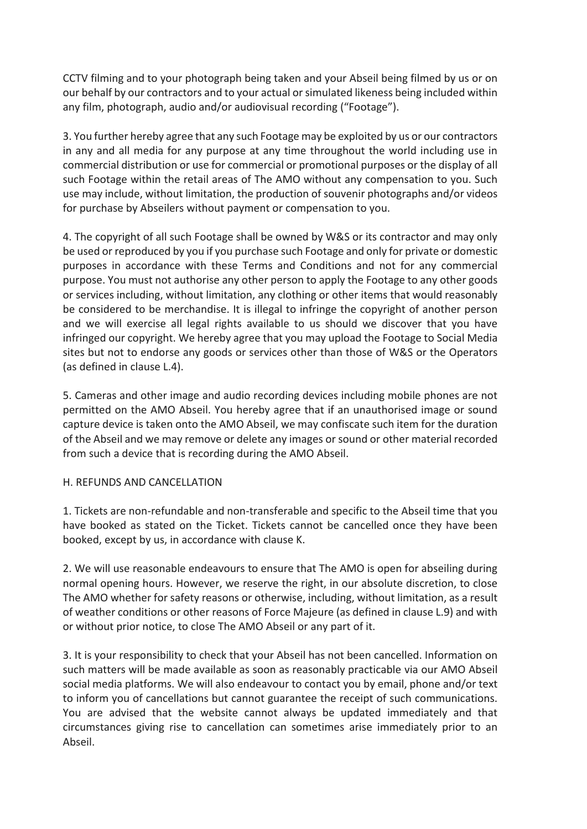CCTV filming and to your photograph being taken and your Abseil being filmed by us or on our behalf by our contractors and to your actual or simulated likeness being included within any film, photograph, audio and/or audiovisual recording ("Footage").

3. You further hereby agree that any such Footage may be exploited by us or our contractors in any and all media for any purpose at any time throughout the world including use in commercial distribution or use for commercial or promotional purposes or the display of all such Footage within the retail areas of The AMO without any compensation to you. Such use may include, without limitation, the production of souvenir photographs and/or videos for purchase by Abseilers without payment or compensation to you.

4. The copyright of all such Footage shall be owned by W&S or its contractor and may only be used or reproduced by you if you purchase such Footage and only for private or domestic purposes in accordance with these Terms and Conditions and not for any commercial purpose. You must not authorise any other person to apply the Footage to any other goods or services including, without limitation, any clothing or other items that would reasonably be considered to be merchandise. It is illegal to infringe the copyright of another person and we will exercise all legal rights available to us should we discover that you have infringed our copyright. We hereby agree that you may upload the Footage to Social Media sites but not to endorse any goods or services other than those of W&S or the Operators (as defined in clause L.4).

5. Cameras and other image and audio recording devices including mobile phones are not permitted on the AMO Abseil. You hereby agree that if an unauthorised image or sound capture device is taken onto the AMO Abseil, we may confiscate such item for the duration of the Abseil and we may remove or delete any images or sound or other material recorded from such a device that is recording during the AMO Abseil.

### H. REFUNDS AND CANCELLATION

1. Tickets are non-refundable and non-transferable and specific to the Abseil time that you have booked as stated on the Ticket. Tickets cannot be cancelled once they have been booked, except by us, in accordance with clause K.

2. We will use reasonable endeavours to ensure that The AMO is open for abseiling during normal opening hours. However, we reserve the right, in our absolute discretion, to close The AMO whether for safety reasons or otherwise, including, without limitation, as a result of weather conditions or other reasons of Force Majeure (as defined in clause L.9) and with or without prior notice, to close The AMO Abseil or any part of it.

3. It is your responsibility to check that your Abseil has not been cancelled. Information on such matters will be made available as soon as reasonably practicable via our AMO Abseil social media platforms. We will also endeavour to contact you by email, phone and/or text to inform you of cancellations but cannot guarantee the receipt of such communications. You are advised that the website cannot always be updated immediately and that circumstances giving rise to cancellation can sometimes arise immediately prior to an Abseil.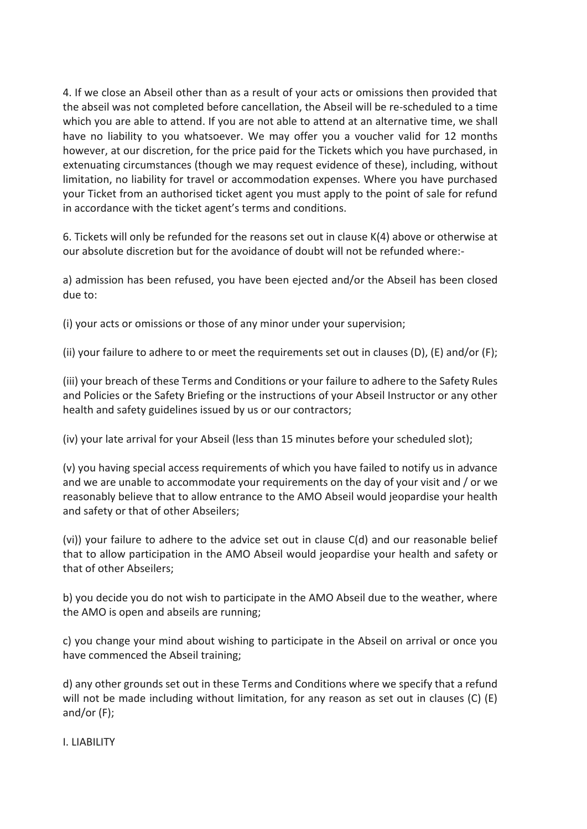4. If we close an Abseil other than as a result of your acts or omissions then provided that the abseil was not completed before cancellation, the Abseil will be re-scheduled to a time which you are able to attend. If you are not able to attend at an alternative time, we shall have no liability to you whatsoever. We may offer you a voucher valid for 12 months however, at our discretion, for the price paid for the Tickets which you have purchased, in extenuating circumstances (though we may request evidence of these), including, without limitation, no liability for travel or accommodation expenses. Where you have purchased your Ticket from an authorised ticket agent you must apply to the point of sale for refund in accordance with the ticket agent's terms and conditions.

6. Tickets will only be refunded for the reasons set out in clause K(4) above or otherwise at our absolute discretion but for the avoidance of doubt will not be refunded where:-

a) admission has been refused, you have been ejected and/or the Abseil has been closed due to:

(i) your acts or omissions or those of any minor under your supervision;

(ii) your failure to adhere to or meet the requirements set out in clauses (D), (E) and/or (F);

(iii) your breach of these Terms and Conditions or your failure to adhere to the Safety Rules and Policies or the Safety Briefing or the instructions of your Abseil Instructor or any other health and safety guidelines issued by us or our contractors;

(iv) your late arrival for your Abseil (less than 15 minutes before your scheduled slot);

(v) you having special access requirements of which you have failed to notify us in advance and we are unable to accommodate your requirements on the day of your visit and / or we reasonably believe that to allow entrance to the AMO Abseil would jeopardise your health and safety or that of other Abseilers;

(vi)) your failure to adhere to the advice set out in clause C(d) and our reasonable belief that to allow participation in the AMO Abseil would jeopardise your health and safety or that of other Abseilers;

b) you decide you do not wish to participate in the AMO Abseil due to the weather, where the AMO is open and abseils are running;

c) you change your mind about wishing to participate in the Abseil on arrival or once you have commenced the Abseil training;

d) any other grounds set out in these Terms and Conditions where we specify that a refund will not be made including without limitation, for any reason as set out in clauses (C) (E) and/or (F);

### I. LIABILITY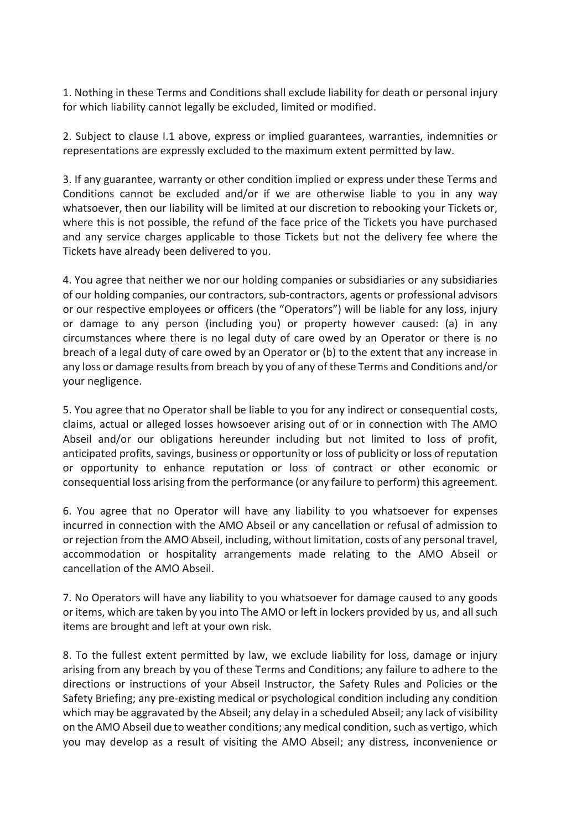1. Nothing in these Terms and Conditions shall exclude liability for death or personal injury for which liability cannot legally be excluded, limited or modified.

2. Subject to clause I.1 above, express or implied guarantees, warranties, indemnities or representations are expressly excluded to the maximum extent permitted by law.

3. If any guarantee, warranty or other condition implied or express under these Terms and Conditions cannot be excluded and/or if we are otherwise liable to you in any way whatsoever, then our liability will be limited at our discretion to rebooking your Tickets or, where this is not possible, the refund of the face price of the Tickets you have purchased and any service charges applicable to those Tickets but not the delivery fee where the Tickets have already been delivered to you.

4. You agree that neither we nor our holding companies or subsidiaries or any subsidiaries of our holding companies, our contractors, sub-contractors, agents or professional advisors or our respective employees or officers (the "Operators") will be liable for any loss, injury or damage to any person (including you) or property however caused: (a) in any circumstances where there is no legal duty of care owed by an Operator or there is no breach of a legal duty of care owed by an Operator or (b) to the extent that any increase in any loss or damage results from breach by you of any of these Terms and Conditions and/or your negligence.

5. You agree that no Operator shall be liable to you for any indirect or consequential costs, claims, actual or alleged losses howsoever arising out of or in connection with The AMO Abseil and/or our obligations hereunder including but not limited to loss of profit, anticipated profits, savings, business or opportunity or loss of publicity or loss of reputation or opportunity to enhance reputation or loss of contract or other economic or consequential loss arising from the performance (or any failure to perform) this agreement.

6. You agree that no Operator will have any liability to you whatsoever for expenses incurred in connection with the AMO Abseil or any cancellation or refusal of admission to or rejection from the AMO Abseil, including, without limitation, costs of any personal travel, accommodation or hospitality arrangements made relating to the AMO Abseil or cancellation of the AMO Abseil.

7. No Operators will have any liability to you whatsoever for damage caused to any goods or items, which are taken by you into The AMO or left in lockers provided by us, and all such items are brought and left at your own risk.

8. To the fullest extent permitted by law, we exclude liability for loss, damage or injury arising from any breach by you of these Terms and Conditions; any failure to adhere to the directions or instructions of your Abseil Instructor, the Safety Rules and Policies or the Safety Briefing; any pre-existing medical or psychological condition including any condition which may be aggravated by the Abseil; any delay in a scheduled Abseil; any lack of visibility on the AMO Abseil due to weather conditions; any medical condition, such as vertigo, which you may develop as a result of visiting the AMO Abseil; any distress, inconvenience or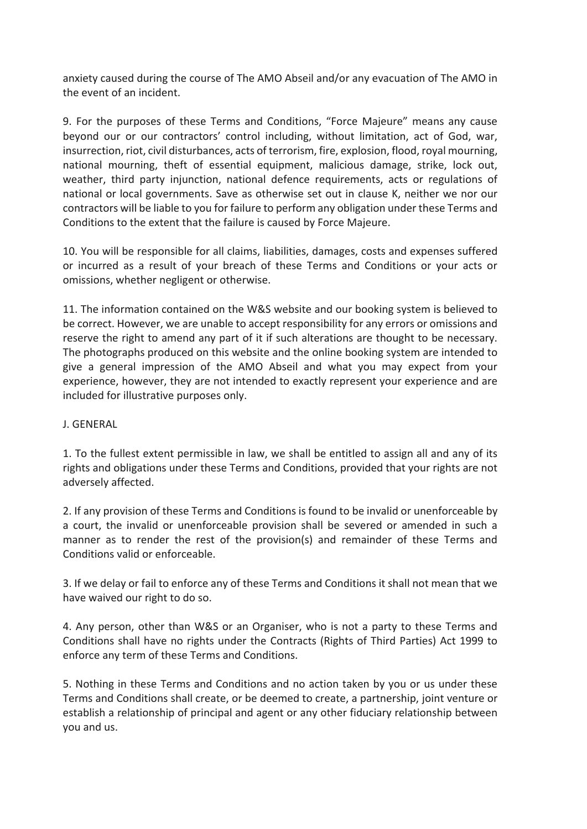anxiety caused during the course of The AMO Abseil and/or any evacuation of The AMO in the event of an incident.

9. For the purposes of these Terms and Conditions, "Force Majeure" means any cause beyond our or our contractors' control including, without limitation, act of God, war, insurrection, riot, civil disturbances, acts of terrorism, fire, explosion, flood, royal mourning, national mourning, theft of essential equipment, malicious damage, strike, lock out, weather, third party injunction, national defence requirements, acts or regulations of national or local governments. Save as otherwise set out in clause K, neither we nor our contractors will be liable to you for failure to perform any obligation under these Terms and Conditions to the extent that the failure is caused by Force Majeure.

10. You will be responsible for all claims, liabilities, damages, costs and expenses suffered or incurred as a result of your breach of these Terms and Conditions or your acts or omissions, whether negligent or otherwise.

11. The information contained on the W&S website and our booking system is believed to be correct. However, we are unable to accept responsibility for any errors or omissions and reserve the right to amend any part of it if such alterations are thought to be necessary. The photographs produced on this website and the online booking system are intended to give a general impression of the AMO Abseil and what you may expect from your experience, however, they are not intended to exactly represent your experience and are included for illustrative purposes only.

### J. GENERAL

1. To the fullest extent permissible in law, we shall be entitled to assign all and any of its rights and obligations under these Terms and Conditions, provided that your rights are not adversely affected.

2. If any provision of these Terms and Conditions is found to be invalid or unenforceable by a court, the invalid or unenforceable provision shall be severed or amended in such a manner as to render the rest of the provision(s) and remainder of these Terms and Conditions valid or enforceable.

3. If we delay or fail to enforce any of these Terms and Conditions it shall not mean that we have waived our right to do so.

4. Any person, other than W&S or an Organiser, who is not a party to these Terms and Conditions shall have no rights under the Contracts (Rights of Third Parties) Act 1999 to enforce any term of these Terms and Conditions.

5. Nothing in these Terms and Conditions and no action taken by you or us under these Terms and Conditions shall create, or be deemed to create, a partnership, joint venture or establish a relationship of principal and agent or any other fiduciary relationship between you and us.